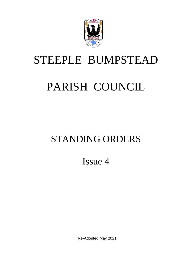

## STEEPLE BUMPSTEAD

# PARISH COUNCIL

## STANDING ORDERS

Issue 4

Re-Adopted May 2021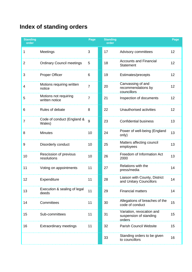## **Index of standing orders**

| <b>Standing</b><br>order |                                         | Page           | <b>Standing</b><br>order |                                                               | Page |
|--------------------------|-----------------------------------------|----------------|--------------------------|---------------------------------------------------------------|------|
| 1                        | Meetings                                | 3              | 17                       | Advisory committees                                           | 12   |
| $\overline{2}$           | <b>Ordinary Council meetings</b>        | 5              | 18                       | <b>Accounts and Financial</b><br><b>Statement</b>             | 12   |
| 3                        | <b>Proper Officer</b>                   | 6              | 19                       | Estimates/precepts                                            | 12   |
| 4                        | Motions requiring written<br>notice     | $\overline{7}$ | 20                       | Canvassing of and<br>recommendations by<br>councillors        | 12   |
| 5                        | Motions not requiring<br>written notice | $\overline{7}$ | 21                       | Inspection of documents                                       | 12   |
| 6                        | Rules of debate                         | 8              | 22                       | Unauthorised activities                                       | 12   |
| $\overline{7}$           | Code of conduct (England &<br>Wales)    | 9              | 23                       | <b>Confidential business</b>                                  | 13   |
| 8                        | <b>Minutes</b>                          | 10             | 24                       | Power of well-being (England<br>only)                         | 13   |
| 9                        | Disorderly conduct                      | 10             | 25                       | Matters affecting council<br>employees                        | 13   |
| 10                       | Rescission of previous<br>resolutions   | 10             | 26                       | Freedom of Information Act<br>2000                            | 13   |
| 11                       | Voting on appointments                  | 11             | 27                       | Relations with the<br>press/media                             | 14   |
| 12                       | Expenditure                             | 11             | 28                       | Liaison with County, District<br>and Unitary Councillors      | 14   |
| 13                       | Execution & sealing of legal<br>deeds   | 11             | 29                       | <b>Financial matters</b>                                      | 14   |
| 14                       | Committees                              | 11             | 30                       | Allegations of breaches of the<br>code of conduct             | 15   |
| 15                       | Sub-committees                          | 11             | 31                       | Variation, revocation and<br>suspension of standing<br>orders | 15   |
| 16                       | <b>Extraordinary meetings</b>           | 11             | 32                       | <b>Parish Council Website</b>                                 | 15   |
|                          |                                         |                | 33                       | Standing orders to be given<br>to councillors                 | 16   |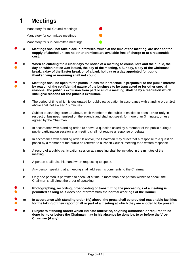## **1 Meetings**

Mandatory for full Council meetings ⚫

Mandatory for committee meetings

Mandatory for sub-committee meetings

- a **Meetings shall not take place in premises, which at the time of the meeting, are used for the supply of alcohol unless no other premises are available free of charge or at a reasonable cost.**
- ●<br>● b **When calculating the 3 clear days for notice of a meeting to councillors and the public, the day on which notice was issued, the day of the meeting, a Sunday, a day of the Christmas break, a day of the Easter break or of a bank holiday or a day appointed for public thanksgiving or mourning shall not count.**
- ● c **Meetings shall be open to the public unless their presence is prejudicial to the public interest by reason of the confidential nature of the business to be transacted or for other special reasons. The public's exclusion from part or all of a meeting shall be by a resolution which shall give reasons for the public's exclusion.**
	- d The period of time which is designated for public participation in accordance with standing order 1(c) above shall not exceed 15 minutes.
	- e Subject to standing order 1d above, each member of the public is entitled to speak **once only** in respect of business itemised on the agenda and shall not speak for more than 3 minutes, unless agreed by the Chairman.
	- f In accordance with standing order 1c above, a question asked by a member of the public during a public participation session at a meeting shall not require a response or debate.
	- g In accordance with standing order 1f above, the Chairman may direct that a response to a question posed by a member of the public be referred to a Parish Council meeting for a written response.
	- h A record of a public participation session at a meeting shall be included in the minutes of that meeting.
	- i A person shall raise his hand when requesting to speak.
	- j Any person speaking at a meeting shall address his comments to the Chairman.
	- k Only one person is permitted to speak at a time. If more than one person wishes to speak, the Chairman shall direct the order of speaking.
- ●<br>● l **Photographing, recording, broadcasting or transmitting the proceedings of a meeting is permitted as long as it does not interfere with the normal workings of the Council**
- ●<br>● m **In accordance with standing order 1(c) above, the press shall be provided reasonable facilities for the taking of their report of all or part of a meeting at which they are entitled to be present**.
	- **<sup>n</sup> Subject to standing orders which indicate otherwise, anything authorised or required to be done by, to or before the Chairman may in his absence be done by, to or before the Vice-Chairman (if any).**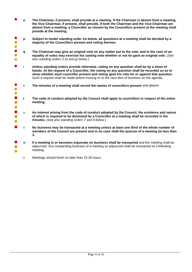- **<sup>o</sup> The Chairman, if present, shall preside at a meeting. If the Chairman is absent from a meeting, the Vice-Chairman, if present, shall preside. If both the Chairman and the Vice-Chairman are absent from a meeting, a Councillor as chosen by the Councillors present at the meeting shall preside at the meeting.**
- ● ● **p Subject to model standing order 1w below, all questions at a meeting shall be decided by a majority of the Councillors present and voting thereon.**
- ● ● **q The Chairman may give an original vote on any matter put to the vote, and in the case of an equality of votes may exercise his casting vote whether or not he gave an original vote.** (*See also standing orders 2 (i) and (j) below.*)
- <sup>r</sup> **Unless standing orders provide otherwise, voting on any question shall be by a show of hands. At the request of a Councillor, the voting on any question shall be recorded so as to show whether each councillor present and voting gave his vote for or against that question.** Such a request shall be made before moving on to the next item of business on the agenda.
- ● s **The minutes of a meeting shall record the names of councillors present** and absent.
- ● ● **t The code of conduct adopted by the Council shall apply to councillors in respect of the entire meeting.**
- ●  $\ddot{\bullet}$ u **An interest arising from the code of conduct adopted by the Council, the existence and nature of which is required to be disclosed by a Councillor at a meeting shall be recorded in the minutes.** (*See also standing orders 7 and 8 below*.)
- **No business may be transacted at a meeting unless at least one third of the whole number of members of the Council are present and in no case shall the quorum of a meeting be less than 3.**
- ●  $\ddot{\bullet}$ w **If a meeting is or becomes inquorate no business shall be transacted** and the meeting shall be adjourned. Any outstanding business of a meeting so adjourned shall be transacted at a following meeting.
	- x Meetings should finish no later than 22.30 hours.

●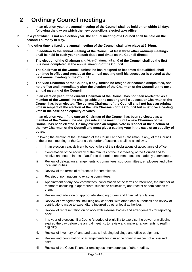## **2 Ordinary Council meetings**

- a **In an election year, the annual meeting of the Council shall be held on or within 14 days following the day on which the new councillors elected take office.**
- b **In a year which is not an election year, the annual meeting of a Council shall be held on the second Thursday in May.**
- c **If no other time is fixed, the annual meeting of the Council shall take place at 7.30pm.**
	- d **In addition to the annual meeting of the Council, at least three other ordinary meetings shall be held in each year on such dates and times as the Council directs.**
	- e **The election of the Chairman** and Vice-Chairman (if any) **of the Council shall be the first business completed at the annual meeting of the Council.**
	- f **The Chairman of the Council, unless he has resigned or becomes disqualified, shall continue in office and preside at the annual meeting until his successor is elected at the next annual meeting of the Council.**
	- g **The Vice-Chairman of the Council, if any, unless he resigns or becomes disqualified, shall hold office until immediately after the election of the Chairman of the Council at the next annual meeting of the Council.**
	- h **In an election year, if the current Chairman of the Council has not been re-elected as a member of the Council, he shall preside at the meeting until a successor Chairman of the Council has been elected. The current Chairman of the Council shall not have an original vote in respect of the election of the new Chairman of the Council but must give a casting vote in the case of an equality of votes.**
	- i **In an election year, if the current Chairman of the Council has been re-elected as a member of the Council, he shall preside at the meeting until a new Chairman of the Council has been elected. He may exercise an original vote in respect of the election of the new Chairman of the Council and must give a casting vote in the case of an equality of votes.**
	- j Following the election of the Chairman of the Council and Vice-Chairman (if any) of the Council at the annual meeting of the Council, the order of business shall be as follows.
		- i. In an election year, delivery by councillors of their declarations of acceptance of office.
		- ii. Confirmation of the accuracy of the minutes of the last meeting of the Council and to receive and note minutes of and/or to determine recommendations made by committees.
		- iii. Review of delegation arrangements to committees, sub-committees, employees and other local authorities.
		- iv. Review of the terms of references for committees.
		- v. Receipt of nominations to existing committees.
		- vi. Appointment of any new committees, confirmation of the terms of reference, the number of members (including, if appropriate, substitute councillors) and receipt of nominations to them.
		- vii. Review and adoption of appropriate standing orders and financial regulations.
		- viii. Review of arrangements, including any charters, with other local authorities and review of contributions made to expenditure incurred by other local authorities.
		- ix. Review of representation on or work with external bodies and arrangements for reporting back.
		- x. In a year of elections, if a Council's period of eligibility to exercise the power of wellbeing expired the day before the annual meeting, to review and make arrangements to reaffirm eligibility.
		- xi. Review of inventory of land and assets including buildings and office equipment.
		- xii. Review and confirmation of arrangements for insurance cover in respect of all insured risks.
		- xiii. Review of the Council's and/or employees' memberships of other bodies.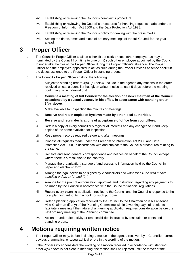- xiv. Establishing or reviewing the Council's complaints procedure.
- xv. Establishing or reviewing the Council's procedures for handling requests made under the Freedom of Information Act 2000 and the Data Protection Act 1998.
- xvi. Establishing or reviewing the Council's policy for dealing with the press/media
- xvii. Setting the dates, times and place of ordinary meetings of the full Council for the year ahead.

### **3 Proper Officer**

- a The Council's Proper Officer shall be either (i) the clerk or such other employee as may be nominated by the Council from time to time or (ii) such other employee appointed by the Council to undertake the role of the Proper Officer during the Proper Officer's absence. The Proper Officer and the employee appointed to act as such during the Proper Officer's absence shall fulfil the duties assigned to the Proper Officer in standing orders.
- b The Council's Proper Officer shall do the following.
	- i. Subject to standing orders 4(a)–(e) below, include in the agenda any motions in the order received unless a councillor has given written notice at least 5 days before the meeting confirming his withdrawal of it.
	- ii. **Convene a meeting of full Council for the election of a new Chairman of the Council, occasioned by a casual vacancy in his office, in accordance with standing order 3(b)i above**.
	- **iii.** Make available for inspection the minutes of meetings.
	- iv. **Receive and retain copies of byelaws made by other local authorities.**
	- **v. Receive and retain declarations of acceptance of office from councillors.**
	- vi. Retain a copy of every councillor's register of interests and any changes to it and keep copies of the same available for inspection.
	- vii. Keep proper records required before and after meetings;
	- viii. Process all requests made under the Freedom of Information Act 2000 and Data Protection Act 1998, in accordance with and subject to the Council's procedures relating to the same.
	- ix. Receive and send general correspondence and notices on behalf of the Council except where there is a resolution to the contrary.
	- x. Manage the organisation, storage of and access to information held by the Council in paper and electronic form.
	- xi. Arrange for legal deeds to be signed by 2 councillors and witnessed (*See also model standing orders 14(a) and (b).*)
	- xii. Arrange for the prompt authorisation, approval, and instruction regarding any payments to be made by the Council in accordance with the Council's financial regulations.
	- xiii. Record every planning application notified to the Council and the Council's response to the local planning authority in a book for such purpose;
	- xiv. Refer a planning application received by the Council to the Chairman or in his absence Vice-Chairman (if any) of the Planning Committee within 2 working days of receipt to facilitate a meeting if the nature of a planning application requires consideration before the next ordinary meeting of the Planning committee.
	- xv. Action or undertake activity or responsibilities instructed by resolution or contained in standing orders.

#### **4 Motions requiring written notice**

- a The Proper Officer may, before including a motion in the agenda received by a Councillor, correct obvious grammatical or typographical errors in the wording of the motion.
- b If the Proper Officer considers the wording of a motion received in accordance with standing order 4(a) above is not clear in meaning, the motion shall be rejected until the mover of the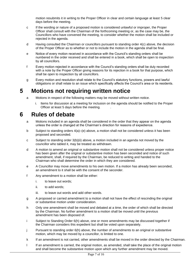motion resubmits it in writing to the Proper Officer in clear and certain language at least 5 clear days before the meeting.

- c If the wording or nature of a proposed motion is considered unlawful or improper, the Proper Officer shall consult with the Chairman of the forthcoming meeting or, as the case may be, the Councillors who have convened the meeting, to consider whether the motion shall be included or rejected in the agenda.
- d Having consulted the Chairman or councillors pursuant to standing order 4(c) above, the decision of the Proper Officer as to whether or not to include the motion in the agenda shall be final.
- e Notice of every motion received in accordance with the Council's standing orders shall be numbered in the order received and shall be entered in a book, which shall be open to inspection by all councillors.
- f Every motion rejected in accordance with the Council's standing orders shall be duly recorded with a note by the Proper Officer giving reasons for its rejection in a book for that purpose, which shall be open to inspection by all councillors.
- g Every motion and resolution shall relate to the Council's statutory functions, powers and lawful obligations or shall relate to an issue which specifically affects the Council's area or its residents.

#### **5 Motions not requiring written notice**

- a Motions in respect of the following matters may be moved without written notice.
	- i. Items for discussion at a meeting for inclusion on the agenda should be notified to the Proper Officer at least 5 days before the meeting. .

#### **6 Rules of debate**

- a Motions included in an agenda shall be considered in the order that they appear on the agenda unless the order is changed at the Chairman's direction for reasons of expedience.
- b Subject to standing orders 4(a)–(e) above, a motion shall not be considered unless it has been proposed and seconded.
- c Subject to standing order 3(b)(ii) above, a motion included in an agenda not moved by the councillor who tabled it, may be treated as withdrawn.
- d A motion to amend an original or substantive motion shall not be considered unless proper notice has been given after the original or substantive motion has been seconded and notice of such amendment, shall, if required by the Chairman, be reduced to writing and handed to the Chairman who shall determine the order in which they are considered.
- e A Councillor may move amendments to his own motion. If a motion has already been seconded, an amendment to it shall be with the consent of the seconder.
- f Any amendment to a motion shall be either:
	- i. to leave out words;
	- ii. to add words;
	- iii. to leave out words and add other words.
- g A proposed or carried amendment to a motion shall not have the effect of rescinding the original or substantive motion under consideration.
- h Only one amendment shall be moved and debated at a time, the order of which shall be directed by the Chairman. No further amendment to a motion shall be moved until the previous amendment has been disposed of.
- i Subject to Standing Order 6(h) above, one or more amendments may be discussed together if the Chairman considers this expedient but shall be voted upon separately.
- j Pursuant to standing order 6(h) above, the number of amendments to an original or substantive motion, which may be moved by a councillor, is limited to one.
- k If an amendment is not carried, other amendments shall be moved in the order directed by the Chairman.
- l If an amendment is carried, the original motion, as amended, shall take the place of the original motion and shall become the substantive motion upon which any further amendment may be moved.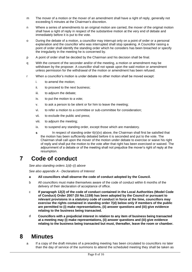- m The mover of a motion or the mover of an amendment shall have a right of reply, generally not exceeding 5 minutes at the Chairman's discretion.
- n Where a series of amendments to an original motion are carried, the mover of the original motion shall have a right of reply in respect of the substantive motion at the very end of debate and immediately before it is put to the vote.
- o During the debate of a motion, a councillor may interrupt only on a point of order or a personal explanation and the councillor who was interrupted shall stop speaking. A Councillor raising a point of order shall identify the standing order which he considers has been breached or specify the irregularity in the meeting he is concerned by.
- p A point of order shall be decided by the Chairman and his decision shall be final.
- q With the consent of the seconder and/or of the meeting, a motion or amendment may be withdrawn by the proposer. A councillor shall not speak upon the said motion or amendment unless permission for the withdrawal of the motion or amendment has been refused.
- r When a councillor's motion is under debate no other motion shall be moved except:
	- i. to amend the motion;
	- ii. to proceed to the next business;
	- iii. to adjourn the debate;
	- iv. to put the motion to a vote;
	- v. to ask a person to be silent or for him to leave the meeting;
	- vi. to refer a motion to a committee or sub-committee for consideration;
	- vii. to exclude the public and press;
	- viii. to adjourn the meeting;
	- ix. to suspend any standing order, except those which are mandatory.
	- **s** In respect of standing order 6(r)(iv) above, the Chairman shall first be satisfied that the motion has been sufficiently debated before it is seconded and put to the vote. The Chairman shall call upon the mover of the motion under debate to exercise or waive his right of reply and shall put the motion to the vote after that right has been exercised or waived. The adjournment of a debate or of the meeting shall not prejudice the mover's right of reply at the resumption.

#### **7 Code of conduct**

*See also standing orders 1(d)–(i) above*

*See also appendix A - Declarations of Interest*

- **a All councillors shall observe the code of conduct adopted by the Council.**
- b All councillors must make themselves aware of the code of conduct within 6 months of the delivery of their declaration of acceptance of office.
- c **If paragraph 12(2) of the code of conduct contained in the Local Authorities (Model Code of Conduct) Order 2007 (SI No.1159) has been adopted by the Council or pursuant to relevant provisions in a statutory code of conduct in force at the time, councillors may exercise the rights contained in standing order 7(d) below only if members of the public are permitted to (i) make representations, (ii) answer questions and (iii) give evidence relating to the business being transacted.**
- d **Councillors with a prejudicial interest in relation to any item of business being transacted at a meeting may (i) make representations, (ii) answer questions and (iii) give evidence relating to the business being transacted but must, thereafter, leave the room or chamber.**

#### **8 Minutes**

a If a copy of the draft minutes of a preceding meeting has been circulated to councillors no later than the day of service of the summons to attend the scheduled meeting they shall be taken as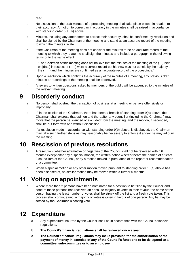read.

- b No discussion of the draft minutes of a preceding meeting shall take place except in relation to their accuracy. A motion to correct an inaccuracy in the minutes shall be raised in accordance with standing order 5(a)(iv) above.
- c Minutes, including any amendment to correct their accuracy, shall be confirmed by resolution and shall be signed by the Chairman of the meeting and stand as an accurate record of the meeting to which the minutes relate.
- d If the Chairman of the meeting does not consider the minutes to be an accurate record of the meeting to which they relate, he shall sign the minutes and include a paragraph in the following terms or to the same effect:

"The Chairman of this meeting does not believe that the minutes of the meeting of the ( ) held on [date] in respect of ( ) were a correct record but his view was not upheld by the majority of the ( ) and the minutes are confirmed as an accurate record of the proceedings."

- e Upon a resolution which confirms the accuracy of the minutes of a meeting, any previous draft minutes or recordings of the meeting shall be destroyed.
- f Answers to written questions asked by members of the public will be appended to the minutes of the relevant meeting.

## **9 Disorderly conduct**

- a No person shall obstruct the transaction of business at a meeting or behave offensively or improperly.
- b If, in the opinion of the Chairman, there has been a breach of standing order 9(a) above, the Chairman shall express that opinion and thereafter any councillor (including the Chairman) may move that the person be silenced or excluded from the meeting, and the motion, if seconded, shall be put forth with and without discussion.
- c If a resolution made in accordance with standing order 9(b) above, is disobeyed, the Chairman may take such further steps as may reasonably be necessary to enforce it and/or he may adjourn the meeting.

## **10 Rescission of previous resolutions**

- a A resolution (whether affirmative or negative) of the Council shall not be reversed within 6 months except either by a special motion, the written notice whereof bears the names of at least 3 councillors of the Council, or by a motion moved in pursuance of the report or recommendation of a committee.
- b When a special motion or any other motion moved pursuant to standing order 10(a) above has been disposed of, no similar motion may be moved within a further 6 months.

## **11 Voting on appointments**

a Where more than 2 persons have been nominated for a position to be filled by the Council and none of those persons has received an absolute majority of votes in their favour, the name of the person having the least number of votes shall be struck off the list and a fresh vote taken. This process shall continue until a majority of votes is given in favour of one person. Any tie may be settled by the Chairman's casting vote.

## **12 Expenditure**

- a Any expenditure incurred by the Council shall be in accordance with the Council's financial regulations.
- b **The Council's financial regulations shall be reviewed once a year.**
- **c The Council's financial regulations may make provision for the authorisation of the payment of money in exercise of any of the Council's functions to be delegated to a committee, sub-committee or to an employee.**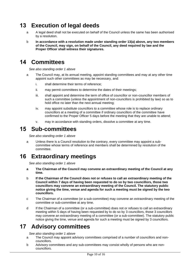## **13 Execution of legal deeds**

- a A legal deed shall not be executed on behalf of the Council unless the same has been authorised by a resolution.
- b **In accordance with a resolution made under standing order 13(a) above, any two members of the Council, may sign, on behalf of the Council, any deed required by law and the Proper Officer shall witness their signatures.**

#### **14 Committees**

*See also standing order 1 above* 

- a The Council may, at its annual meeting, appoint standing committees and may at any other time appoint such other committees as may be necessary, and:
	- i. shall determine their terms of reference;
	- ii. may permit committees to determine the dates of their meetings;
	- iii. shall appoint and determine the term of office of councillor or non-councillor members of such a committee (unless the appointment of non-councillors is prohibited by law) so as to hold office no later than the next annual meeting;
	- iv. may appoint substitute councillors to a committee whose role is to replace ordinary councillors at a meeting of a committee if ordinary councillors of the committee have confirmed to the Proper Officer 5 days before the meeting that they are unable to attend;
	- v. may in accordance with standing orders, dissolve a committee at any time.

#### **15 Sub-committees**

*See also standing order 1 above*

a Unless there is a Council resolution to the contrary, every committee may appoint a subcommittee whose terms of reference and members shall be determined by resolution of the committee.

#### **16 Extraordinary meetings**

*See also standing order 1 above*

- **a The Chairman of the Council may convene an extraordinary meeting of the Council at any time.**
- b **If the Chairman of the Council does not or refuses to call an extraordinary meeting of the Council within 7 days of having been requested to do so by two councillors, those two councillors may convene an extraordinary meeting of the Council. The statutory public notice giving the time, venue and agenda for such a meeting must be signed by the two councillors.**
- c The Chairman of a committee (or a sub-committee) may convene an extraordinary meeting of the committee or sub-committee at any time.
- d If the Chairman of a committee (or a sub-committee) does not or refuses to call an extraordinary meeting within 5 days of having been requested by to do so by 3 councillors, those 3 councillors may convene an extraordinary meeting of a committee (or a sub-committee). The statutory public notice giving the time, venue and agenda for such a meeting must be signed by 3 councillors.

#### **17 Advisory committees**

*See also standing order 1 above*

- a The Council may appoint advisory committees comprised of a number of councillors and noncouncillors.
- b Advisory committees and any sub-committees may consist wholly of persons who are noncouncillors.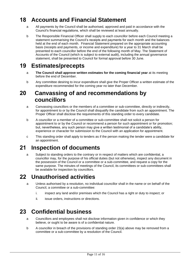## **18 Accounts and Financial Statement**

- a All payments by the Council shall be authorised, approved and paid in accordance with the Council's financial regulations, which shall be reviewed at least annually.
- b The Responsible Financial Officer shall supply to each councillor before each Council meeting a statement summarising the Council's receipts and payments for each month and the balances held at the end of each month. Financial Statement prepared on the appropriate accounting basis (receipts and payments, or income and expenditure) for a year to 31 March shall be presented to each councillor before the end of the following month of May. The Statement of Accounts of the Council (which is subject to external audit), including the annual governance statement, shall be presented to Council for formal approval before 30 June.

#### **19 Estimates/precepts**

- a **The Council shall approve written estimates for the coming financial year** at its meeting before the end of December.
- b Any committee desiring to incur expenditure shall give the Proper Officer a written estimate of the expenditure recommended for the coming year no later than December.

#### **20 Canvassing of and recommendations by councillors**

- a Canvassing councillors or the members of a committee or sub-committee, directly or indirectly, for appointment to or by the Council shall disqualify the candidate from such an appointment. The Proper Officer shall disclose the requirements of this standing order to every candidate.
- b A councillor or a member of a committee or sub-committee shall not solicit a person for appointment to or by the Council or recommend a person for such appointment or for promotion; but, nevertheless, any such person may give a written testimonial of a candidate's ability, experience or character for submission to the Council with an application for appointment.
- c This standing order shall apply to tenders as if the person making the tender were a candidate for an appointment.

## **21 Inspection of documents**

a Subject to standing orders to the contrary or in respect of matters which are confidential, a councillor may, for the purpose of his official duties (but not otherwise), inspect any document in the possession of the Council or a committee or a sub-committee, and request a copy for the same purpose. The minutes of meetings of the Council, its committees or sub-committees shall be available for inspection by councillors.

## **22 Unauthorised activities**

- a Unless authorised by a resolution, no individual councillor shall in the name or on behalf of the Council, a committee or a sub-committee:
	- i. inspect any land and/or premises which the Council has a right or duty to inspect; or
	- ii. issue orders, instructions or directions.

## **23 Confidential business**

- a Councillors and employees shall not disclose information given in confidence or which they believe, or ought to be aware is of a confidential nature.
- b A councillor in breach of the provisions of standing order 23(a) above may be removed from a committee or a sub-committee by a resolution of the Council.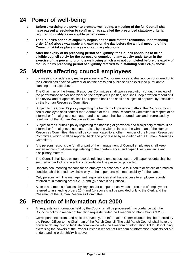#### **24 Power of well-being**

- **a Before exercising the power to promote well-being, a meeting of the full Council shall have passed a resolution to confirm it has satisfied the prescribed statutory criteria required to qualify as an eligible parish council.**
- **b The Council's period of eligibility begins on the date that the resolution understanding order 24 (a) above was made and expires on the day before the annual meeting of the Council that takes place in a year of ordinary elections.**
- c **After the expiry of its preceding period of eligibility, the Council continues to be an eligible council solely for the purpose of completing any activity undertaken in the exercise of the power to promote well-being which was not completed before the expiry of the Council's preceding period of eligibility referred to in standing order 24(b) above.**

### **25 Matters affecting council employees**

- a If a meeting considers any matter personal to a Council employee, it shall not be considered until the Council has decided whether or not the press and public shall be excluded pursuant to standing order 1(c) above.
- b The Chairman of the Human Resources Committee shall upon a resolution conduct a review of the performance and/or appraisal of [the employee's job title] and shall keep a written record of it. The review and/or appraisal shall be reported back and shall be subject to approval by resolution by the Human Resources Committee.
- c Subject to the Council's policy regarding the handling of grievance matters, the Council's most senior employee shall contact the Chairman of the Human Resources Committee in respect of an informal or formal grievance matter, and this matter shall be reported back and progressed by resolution of the Human Resources Committee.
- d Subject to the Council's policy regarding the handling of grievance and disciplinary matters, if an informal or formal grievance matter raised by the Clerk relates to the Chairman of the Human Resources Committee, this shall be communicated to another member of the Human Resources Committee, which shall be reported back and progressed by resolution of the Human Resources Committee.
- e Any persons responsible for all or part of the management of Council employees shall keep written records of all meetings relating to their performance, and capabilities, grievance and disciplinary matters.
- f The Council shall keep written records relating to employees secure. All paper records shall be secured under lock and electronic records shall be password protected.
- g Records documenting reasons for an employee's absence due to ill health or details of a medical condition shall be made available only to those persons with responsibility for the same.
- h Only persons with line management responsibilities shall have access to employee records referred to in standing orders 26(f) and (g) above if so justified.
- i Access and means of access by keys and/or computer passwords to records of employment referred to in standing orders 26(f) and (g) above shall be provided only to the Clerk and the Chairman of the Human Resources Committee.

## **26 Freedom of Information Act 2000**

- a All requests for information held by the Council shall be processed in accordance with the Council's policy in respect of handling requests under the Freedom of Information Act 2000.
- b Correspondence from, and notices served by, the Information Commissioner shall be referred by the Proper Officer to the Chairman of the Parish Council. The said Parish Council shall have the power to do anything to facilitate compliance with the Freedom of Information Act 2000 including exercising the powers of the Proper Officer in respect of Freedom of Information requests set out understanding order 3(b)(viii) above.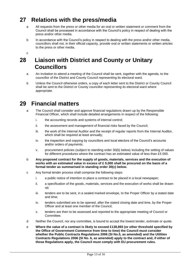## **27 Relations with the press/media**

- a All requests from the press or other media for an oral or written statement or comment from the Council shall be processed in accordance with the Council's policy in respect of dealing with the press and/or other media.
- b In accordance with the Council's policy in respect to dealing with the press and/or other media, councillors shall not, in their official capacity, provide oral or written statements or written articles to the press or other media.

c

## **28 Liaison with District and County or Unitary Councillors**

- a An invitation to attend a meeting of the Council shall be sent, together with the agenda, to the councillor of the District and County Council representing its electoral ward.
- b Unless the Council otherwise orders, a copy of each letter sent to the District or County Council shall be sent to the District or County councillor representing its electoral ward where appropriate.

## **29 Financial matters**

- a The Council shall consider and approve financial regulations drawn up by the Responsible Financial Officer, which shall include detailed arrangements in respect of the following:
	- i. the accounting records and systems of internal control;
	- ii. the assessment and management of financial risks faced by the Council;
	- iii. the work of the Internal Auditor and the receipt of regular reports from the Internal Auditor, which shall be required at least annually;
	- iv. the inspection and copying by councillors and local electors of the Council's accounts and/or orders of payments;
	- v. procurement policies (subject to standing order 30(b) below) including the setting of values for different procedures where the contract has an estimated value of less than £5 000.
- b **Any proposed contract for the supply of goods, materials, services and the execution of works with an estimated value in excess of £ 5,000 shall be procured on the basis of a formal tender as summarised in standing order 30(c) below.**
- c Any formal tender process shall comprise the following steps:
	- i. a public notice of intention to place a contract to be placed in a local newspaper;
	- ii. a specification of the goods, materials, services and the execution of works shall be drawn up;
	- iii. tenders are to be sent, in a sealed marked envelope, to the Proper Officer by a stated date and time;
	- iv. tenders submitted are to be opened, after the stated closing date and time, by the Proper Officer and at least one member of the Council;
	- v. tenders are then to be assessed and reported to the appropriate meeting of Council or Committee.
- d Neither the Council, nor any committee, is bound to accept the lowest tender, estimate or quote.
- e **Where the value of a contract is likely to exceed £138,893 (or other threshold specified by the Office of Government Commerce from time to time) the Council must consider whether the Public Contracts Regulations 2006 (SI No.5, as amended) and the Utilities Contracts Regulations 2006 (SI No. 6, as amended) apply to the contract and, if either of those Regulations apply, the Council must comply with EU procurement rules.**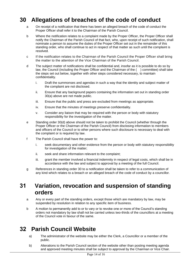### **30 Allegations of breaches of the code of conduct**

- a On receipt of a notification that there has been an alleged breach of the code of conduct the Proper Officer shall refer it to the Chairman of the Parish Council.
- b Where the notification relates to a complaint made by the Proper Officer, the Proper Officer shall notify the Chairman of the Parish Council of that fact, who, upon receipt of such notification, shall nominate a person to assume the duties of the Proper Officer set out in the remainder of this standing order, who shall continue to act in respect of that matter as such until the complaint is resolved.
- c If the notification relates to the Chairman of the Parish Council the Proper Officer shall bring the matter to the attention of the Vice Chairman of the Parish Council.
- d The subject matter of notifications shall be confidential and, insofar as it is possible to do so by law, the Council (including the Proper Officer and the Chairman of the ( ) committee) shall take the steps set out below, together with other steps considered necessary, to maintain confidentiality.
	- i. Draft the summonses and agendas in such a way that the identity and subject matter of the complaint are not disclosed.
	- ii. Ensure that any background papers containing the information set out in standing order 30(a) above are not made public.
	- iii. Ensure that the public and press are excluded from meetings as appropriate.
	- iv. Ensure that the minutes of meetings preserve confidentiality.
	- v. Consider any liaison that may be required with the person or body with statutory responsibility for the investigation of the matter.
- e Standing order 30(d) above should not be taken to prohibit the Council (whether through the Proper Officer or the Chairman of the Parish Council) from disclosing information to members and officers of the Council or to other persons where such disclosure is necessary to deal with the complaint or is required by law.
- f The Parish Council shall have the power to:
	- i. seek documentary and other evidence from the person or body with statutory responsibility for investigation of the matter;
	- ii. seek and share information relevant to the complaint;
	- iii. grant the member involved a financial indemnity in respect of legal costs, which shall be in accordance with the law and subject to approval by a meeting of the full Council.
- g References in standing order 30 to a notification shall be taken to refer to a communication of any kind which relates to a breach or an alleged breach of the code of conduct by a councillor.

#### **31 Variation, revocation and suspension of standing orders**

- a Any or every part of the standing orders, except those which are mandatory by law, may be suspended by resolution in relation to any specific item of business.
- b A motion to permanently add to or to vary or to revoke one or more of the Council's standing orders not mandatory by law shall not be carried unless two-thirds of the councillors at a meeting of the Council vote in favour of the same.

## **32 Parish Council Website**

- a) The administrator of the website may be either the Clerk, a Councillor or a member of the public.
- b) Alterations to the Parish Council section of the website other than posting meeting agenda and approved meeting minutes shall be subject to approval by the Chairman or Vice Chair.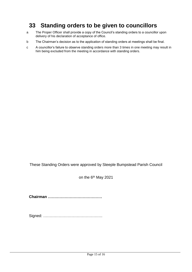## **33 Standing orders to be given to councillors**

- a The Proper Officer shall provide a copy of the Council's standing orders to a councillor upon delivery of his declaration of acceptance of office.
- b The Chairman's decision as to the application of standing orders at meetings shall be final.
- c A councillor's failure to observe standing orders more than 3 times in one meeting may result in him being excluded from the meeting in accordance with standing orders.

These Standing Orders were approved by Steeple Bumpstead Parish Council

on the 6<sup>th</sup> May 2021

**Chairman ……………………………………**

Signed: ……………………………………….